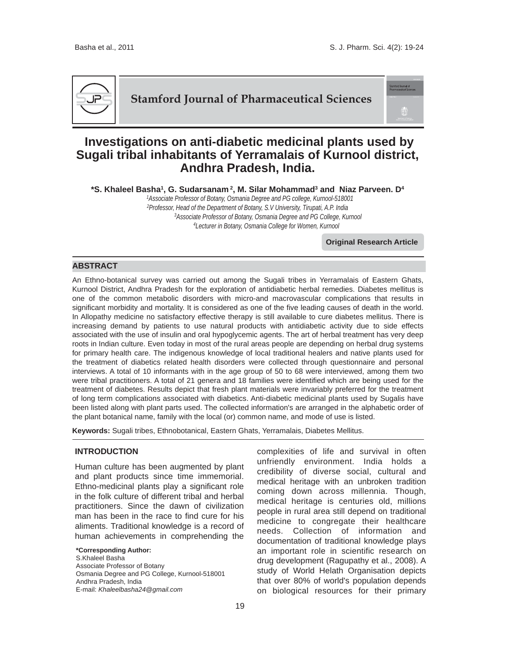.<br>Iord Journal of<br>naceutical Scier



**Stamford Journal of Pharmaceutical Sciences**

# **Investigations on anti-diabetic medicinal plants used by Sugali tribal inhabitants of Yerramalais of Kurnool district, Andhra Pradesh, India.**

**\*S. Khaleel Basha1, G. Sudarsanam 2, M. Silar Mohammad3 and Niaz Parveen. D4**

 *1Associate Professor of Botany, Osmania Degree and PG college, Kurnool-518001 2Professor, Head of the Department of Botany, S.V University, Tirupati, A.P. India 3Associate Professor of Botany, Osmania Degree and PG College, Kurnool 4Lecturer in Botany, Osmania College for Women, Kurnool*

**Original Research Article**

# **ABSTRACT**

An Ethno-botanical survey was carried out among the Sugali tribes in Yerramalais of Eastern Ghats, Kurnool District, Andhra Pradesh for the exploration of antidiabetic herbal remedies. Diabetes mellitus is one of the common metabolic disorders with micro-and macrovascular complications that results in significant morbidity and mortality. It is considered as one of the five leading causes of death in the world. In Allopathy medicine no satisfactory effective therapy is still available to cure diabetes mellitus. There is increasing demand by patients to use natural products with antidiabetic activity due to side effects associated with the use of insulin and oral hypoglycemic agents. The art of herbal treatment has very deep roots in Indian culture. Even today in most of the rural areas people are depending on herbal drug systems for primary health care. The indigenous knowledge of local traditional healers and native plants used for the treatment of diabetics related health disorders were collected through questionnaire and personal interviews. A total of 10 informants with in the age group of 50 to 68 were interviewed, among them two were tribal practitioners. A total of 21 genera and 18 families were identified which are being used for the treatment of diabetes. Results depict that fresh plant materials were invariably preferred for the treatment of long term complications associated with diabetics. Anti-diabetic medicinal plants used by Sugalis have been listed along with plant parts used. The collected information's are arranged in the alphabetic order of the plant botanical name, family with the local (or) common name, and mode of use is listed.

**Keywords:** Sugali tribes, Ethnobotanical, Eastern Ghats, Yerramalais, Diabetes Mellitus.

# **INTRODUCTION**

Human culture has been augmented by plant and plant products since time immemorial. Ethno-medicinal plants play a significant role in the folk culture of different tribal and herbal practitioners. Since the dawn of civilization man has been in the race to find cure for his aliments. Traditional knowledge is a record of human achievements in comprehending the

**\*Corresponding Author:** S.Khaleel Basha Associate Professor of Botany Osmania Degree and PG College, Kurnool-518001 Andhra Pradesh, India E-mail: *Khaleelbasha24@gmail.com*

complexities of life and survival in often unfriendly environment. India holds a credibility of diverse social, cultural and medical heritage with an unbroken tradition coming down across millennia. Though, medical heritage is centuries old, millions people in rural area still depend on traditional medicine to congregate their healthcare needs. Collection of information and documentation of traditional knowledge plays an important role in scientific research on drug development (Ragupathy et al., 2008). A study of World Helath Organisation depicts that over 80% of world's population depends on biological resources for their primary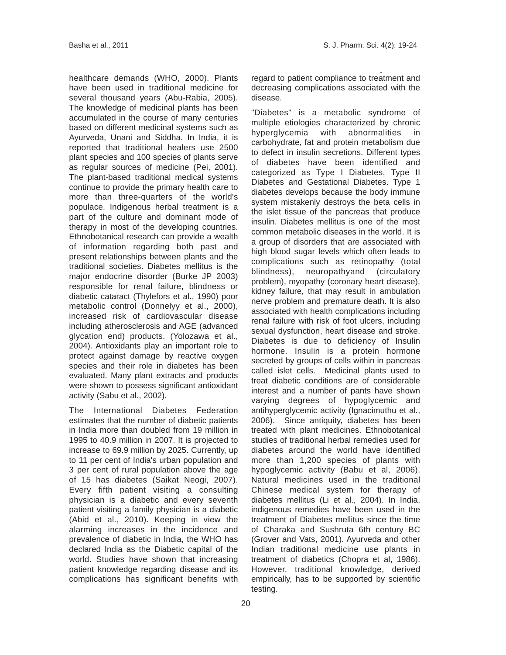healthcare demands (WHO, 2000). Plants have been used in traditional medicine for several thousand years (Abu-Rabia, 2005). The knowledge of medicinal plants has been accumulated in the course of many centuries based on different medicinal systems such as Ayurveda, Unani and Siddha. In India, it is reported that traditional healers use 2500 plant species and 100 species of plants serve as regular sources of medicine (Pei, 2001). The plant-based traditional medical systems continue to provide the primary health care to more than three-quarters of the world's populace. Indigenous herbal treatment is a part of the culture and dominant mode of therapy in most of the developing countries. Ethnobotanical research can provide a wealth of information regarding both past and present relationships between plants and the traditional societies. Diabetes mellitus is the major endocrine disorder (Burke JP 2003) responsible for renal failure, blindness or diabetic cataract (Thylefors et al., 1990) poor metabolic control (Donnelyy et al., 2000), increased risk of cardiovascular disease including atherosclerosis and AGE (advanced glycation end) products. (Yolozawa et al., 2004). Antioxidants play an important role to protect against damage by reactive oxygen species and their role in diabetes has been evaluated. Many plant extracts and products were shown to possess significant antioxidant activity (Sabu et al., 2002).

The International Diabetes Federation estimates that the number of diabetic patients in India more than doubled from 19 million in 1995 to 40.9 million in 2007. It is projected to increase to 69.9 million by 2025. Currently, up to 11 per cent of India's urban population and 3 per cent of rural population above the age of 15 has diabetes (Saikat Neogi, 2007). Every fifth patient visiting a consulting physician is a diabetic and every seventh patient visiting a family physician is a diabetic (Abid et al., 2010). Keeping in view the alarming increases in the incidence and prevalence of diabetic in India, the WHO has declared India as the Diabetic capital of the world. Studies have shown that increasing patient knowledge regarding disease and its complications has significant benefits with

regard to patient compliance to treatment and decreasing complications associated with the disease.

"Diabetes" is a metabolic syndrome of multiple etiologies characterized by chronic hyperglycemia with abnormalities in carbohydrate, fat and protein metabolism due to defect in insulin secretions. Different types of diabetes have been identified and categorized as Type I Diabetes, Type II Diabetes and Gestational Diabetes. Type 1 diabetes develops because the body immune system mistakenly destroys the beta cells in the islet tissue of the pancreas that produce insulin. Diabetes mellitus is one of the most common metabolic diseases in the world. It is a group of disorders that are associated with high blood sugar levels which often leads to complications such as retinopathy (total blindness), neuropathyand (circulatory problem), myopathy (coronary heart disease), kidney failure, that may result in ambulation nerve problem and premature death. It is also associated with health complications including renal failure with risk of foot ulcers, including sexual dysfunction, heart disease and stroke. Diabetes is due to deficiency of Insulin hormone. Insulin is a protein hormone secreted by groups of cells within in pancreas called islet cells. Medicinal plants used to treat diabetic conditions are of considerable interest and a number of pants have shown varying degrees of hypoglycemic and antihyperglycemic activity (Ignacimuthu et al., 2006). Since antiquity, diabetes has been treated with plant medicines. Ethnobotanical studies of traditional herbal remedies used for diabetes around the world have identified more than 1,200 species of plants with hypoglycemic activity (Babu et al, 2006). Natural medicines used in the traditional Chinese medical system for therapy of diabetes mellitus (Li et al., 2004). In India, indigenous remedies have been used in the treatment of Diabetes mellitus since the time of Charaka and Sushruta 6th century BC (Grover and Vats, 2001). Ayurveda and other Indian traditional medicine use plants in treatment of diabetics (Chopra et al, 1986). However, traditional knowledge, derived empirically, has to be supported by scientific testing.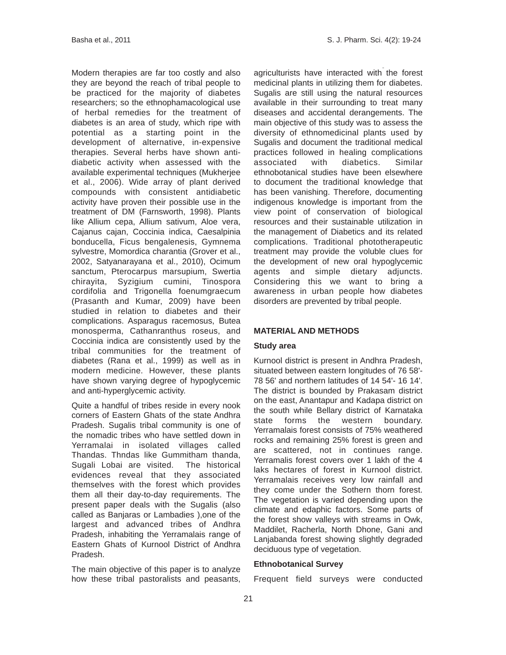Modern therapies are far too costly and also they are beyond the reach of tribal people to be practiced for the majority of diabetes researchers; so the ethnophamacological use of herbal remedies for the treatment of diabetes is an area of study, which ripe with potential as a starting point in the development of alternative, in-expensive therapies. Several herbs have shown antidiabetic activity when assessed with the available experimental techniques (Mukherjee et al., 2006). Wide array of plant derived compounds with consistent antidiabetic activity have proven their possible use in the treatment of DM (Farnsworth, 1998). Plants like Allium cepa, Allium sativum, Aloe vera, Cajanus cajan, Coccinia indica, Caesalpinia bonducella, Ficus bengalenesis, Gymnema sylvestre, Momordica charantia (Grover et al., 2002, Satyanarayana et al., 2010), Ocimum sanctum, Pterocarpus marsupium, Swertia chirayita, Syzigium cumini, Tinospora cordifolia and Trigonella foenumgraecum (Prasanth and Kumar, 2009) have been studied in relation to diabetes and their complications. Asparagus racemosus, Butea monosperma, Cathanranthus roseus, and Coccinia indica are consistently used by the tribal communities for the treatment of diabetes (Rana et al., 1999) as well as in modern medicine. However, these plants have shown varying degree of hypoglycemic and anti-hyperglycemic activity.

Quite a handful of tribes reside in every nook corners of Eastern Ghats of the state Andhra Pradesh. Sugalis tribal community is one of the nomadic tribes who have settled down in Yerramalai in isolated villages called Thandas. Thndas like Gummitham thanda, Sugali Lobai are visited. The historical evidences reveal that they associated themselves with the forest which provides them all their day-to-day requirements. The present paper deals with the Sugalis (also called as Banjaras or Lambadies ),one of the largest and advanced tribes of Andhra Pradesh, inhabiting the Yerramalais range of Eastern Ghats of Kurnool District of Andhra Pradesh.

The main objective of this paper is to analyze how these tribal pastoralists and peasants, agriculturists have interacted with the forest medicinal plants in utilizing them for diabetes. Sugalis are still using the natural resources available in their surrounding to treat many diseases and accidental derangements. The main objective of this study was to assess the diversity of ethnomedicinal plants used by Sugalis and document the traditional medical practices followed in healing complications associated with diabetics. Similar ethnobotanical studies have been elsewhere to document the traditional knowledge that has been vanishing. Therefore, documenting indigenous knowledge is important from the view point of conservation of biological resources and their sustainable utilization in the management of Diabetics and its related complications. Traditional phototherapeutic treatment may provide the voluble clues for the development of new oral hypoglycemic agents and simple dietary adjuncts. Considering this we want to bring a awareness in urban people how diabetes disorders are prevented by tribal people.

# **MATERIAL AND METHODS**

## **Study area**

Kurnool district is present in Andhra Pradesh, situated between eastern longitudes of 76 58'- 78 56' and northern latitudes of 14 54'- 16 14'. The district is bounded by Prakasam district on the east, Anantapur and Kadapa district on the south while Bellary district of Karnataka state forms the western boundary. Yerramalais forest consists of 75% weathered rocks and remaining 25% forest is green and are scattered, not in continues range. Yerramalis forest covers over 1 lakh of the 4 laks hectares of forest in Kurnool district. Yerramalais receives very low rainfall and they come under the Sothern thorn forest. The vegetation is varied depending upon the climate and edaphic factors. Some parts of the forest show valleys with streams in Owk, Maddilet, Racherla, North Dhone, Gani and Lanjabanda forest showing slightly degraded deciduous type of vegetation.

# **Ethnobotanical Survey**

Frequent field surveys were conducted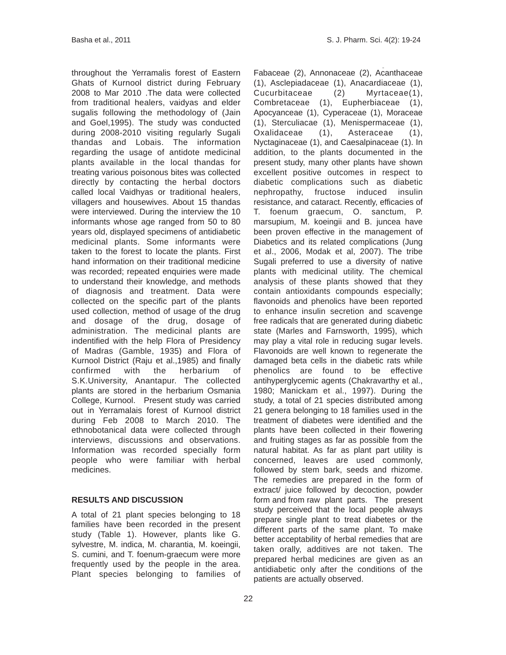throughout the Yerramalis forest of Eastern Ghats of Kurnool district during February 2008 to Mar 2010 .The data were collected from traditional healers, vaidyas and elder sugalis following the methodology of (Jain and Goel,1995). The study was conducted during 2008-2010 visiting regularly Sugali thandas and Lobais. The information regarding the usage of antidote medicinal plants available in the local thandas for treating various poisonous bites was collected directly by contacting the herbal doctors called local Vaidhyas or traditional healers, villagers and housewives. About 15 thandas were interviewed. During the interview the 10 informants whose age ranged from 50 to 80 years old, displayed specimens of antidiabetic medicinal plants. Some informants were taken to the forest to locate the plants. First hand information on their traditional medicine was recorded; repeated enquiries were made to understand their knowledge, and methods of diagnosis and treatment. Data were collected on the specific part of the plants used collection, method of usage of the drug and dosage of the drug, dosage of administration. The medicinal plants are indentified with the help Flora of Presidency of Madras (Gamble, 1935) and Flora of Kurnool District (Raju et al.,1985) and finally confirmed with the herbarium of S.K.University, Anantapur. The collected plants are stored in the herbarium Osmania College, Kurnool. Present study was carried out in Yerramalais forest of Kurnool district during Feb 2008 to March 2010. The ethnobotanical data were collected through interviews, discussions and observations. Information was recorded specially form people who were familiar with herbal medicines.

## **RESULTS AND DISCUSSION**

A total of 21 plant species belonging to 18 families have been recorded in the present study (Table 1). However, plants like G. sylvestre, M. indica, M. charantia, M. koeingii, S. cumini, and T. foenum-graecum were more frequently used by the people in the area. Plant species belonging to families of Fabaceae (2), Annonaceae (2), Acanthaceae (1), Asclepiadaceae (1), Anacardiaceae (1), Cucurbitaceae (2) Myrtaceae(1), Combretaceae (1), Eupherbiaceae (1), Apocyanceae (1), Cyperaceae (1), Moraceae (1), Sterculiacae (1), Menispermaceae (1), Oxalidaceae (1), Asteraceae (1), Nyctaginaceae (1), and Caesalpinaceae (1). In addition, to the plants documented in the present study, many other plants have shown excellent positive outcomes in respect to diabetic complications such as diabetic nephropathy, fructose induced insulin resistance, and cataract. Recently, efficacies of T. foenum graecum, O. sanctum, P. marsupium, M. koeingii and B. juncea have been proven effective in the management of Diabetics and its related complications (Jung et al., 2006, Modak et al, 2007). The tribe Sugali preferred to use a diversity of native plants with medicinal utility. The chemical analysis of these plants showed that they contain antioxidants compounds especially; flavonoids and phenolics have been reported to enhance insulin secretion and scavenge free radicals that are generated during diabetic state (Marles and Farnsworth, 1995), which may play a vital role in reducing sugar levels. Flavonoids are well known to regenerate the damaged beta cells in the diabetic rats while phenolics are found to be effective antihyperglycemic agents (Chakravarthy et al., 1980; Manickam et al., 1997). During the study, a total of 21 species distributed among 21 genera belonging to 18 families used in the treatment of diabetes were identified and the plants have been collected in their flowering and fruiting stages as far as possible from the natural habitat. As far as plant part utility is concerned, leaves are used commonly, followed by stem bark, seeds and rhizome. The remedies are prepared in the form of extract/ juice followed by decoction, powder form and from raw plant parts. The present study perceived that the local people always prepare single plant to treat diabetes or the different parts of the same plant. To make better acceptability of herbal remedies that are taken orally, additives are not taken. The prepared herbal medicines are given as an antidiabetic only after the conditions of the patients are actually observed.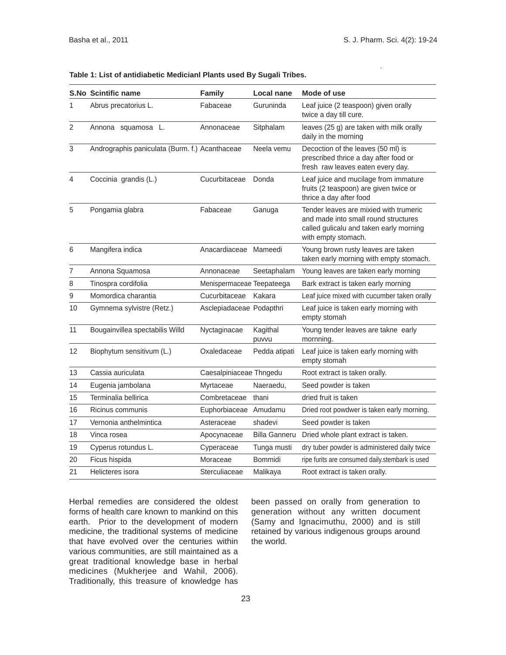#### **Table 1: List of antidiabetic Medicianl Plants used By Sugali Tribes.**

|                | <b>S.No Scintific name</b>                     | <b>Family</b>             | Local nane           | Mode of use                                                                                                                                      |
|----------------|------------------------------------------------|---------------------------|----------------------|--------------------------------------------------------------------------------------------------------------------------------------------------|
| 1              | Abrus precatorius L.                           | Fabaceae                  | Guruninda            | Leaf juice (2 teaspoon) given orally<br>twice a day till cure.                                                                                   |
| $\overline{2}$ | Annona squamosa L.                             | Annonaceae                | Sitphalam            | leaves (25 g) are taken with milk orally<br>daily in the morning                                                                                 |
| 3              | Andrographis paniculata (Burm. f.) Acanthaceae |                           | Neela vemu           | Decoction of the leaves (50 ml) is<br>prescribed thrice a day after food or<br>fresh raw leaves eaten every day.                                 |
| $\overline{4}$ | Coccinia grandis (L.)                          | Cucurbitaceae             | Donda                | Leaf juice and mucilage from immature<br>fruits (2 teaspoon) are given twice or<br>thrice a day after food                                       |
| 5              | Pongamia glabra                                | Fabaceae                  | Ganuga               | Tender leaves are mixied with trumeric<br>and made into small round structures<br>called gulicalu and taken early morning<br>with empty stomach. |
| 6              | Mangifera indica                               | Anacardiaceae Mameedi     |                      | Young brown rusty leaves are taken<br>taken early morning with empty stomach.                                                                    |
| $\overline{7}$ | Annona Squamosa                                | Annonaceae                | Seetaphalam          | Young leaves are taken early morning                                                                                                             |
| $\,8\,$        | Tinospra cordifolia                            | Menispermaceae Teepateega |                      | Bark extract is taken early morning                                                                                                              |
| 9              | Momordica charantia                            | Cucurbitaceae             | Kakara               | Leaf juice mixed with cucumber taken orally                                                                                                      |
| 10             | Gymnema sylvistre (Retz.)                      | Asclepiadaceae Podapthri  |                      | Leaf juice is taken early morning with<br>empty stomah                                                                                           |
| 11             | Bougainvillea spectabilis Willd                | Nyctaginacae              | Kagithal<br>puvvu    | Young tender leaves are takne early<br>mornning.                                                                                                 |
| 12             | Biophytum sensitivum (L.)                      | Oxaledaceae               | Pedda atipati        | Leaf juice is taken early morning with<br>empty stomah                                                                                           |
| 13             | Cassia auriculata                              | Caesalpiniaceae Thngedu   |                      | Root extract is taken orally.                                                                                                                    |
| 14             | Eugenia jambolana                              | Myrtaceae                 | Naeraedu.            | Seed powder is taken                                                                                                                             |
| 15             | Terminalia bellirica                           | Combretaceae              | thani                | dried fruit is taken                                                                                                                             |
| 16             | Ricinus communis                               | Euphorbiaceae             | Amudamu              | Dried root powdwer is taken early morning.                                                                                                       |
| 17             | Vernonia anthelmintica                         | Asteraceae                | shadevi              | Seed powder is taken                                                                                                                             |
| 18             | Vinca rosea                                    | Apocynaceae               | <b>Billa Ganneru</b> | Dried whole plant extract is taken.                                                                                                              |
| 19             | Cyperus rotundus L.                            | Cyperaceae                | Tunga musti          | dry tuber powder is administered daily twice                                                                                                     |
| 20             | Ficus hispida                                  | Moraceae                  | <b>Bommidi</b>       | ripe furits are consumed daily.stembark is used                                                                                                  |
| 21             | Helicteres isora                               | Sterculiaceae             | Malikaya             | Root extract is taken orally.                                                                                                                    |

Herbal remedies are considered the oldest forms of health care known to mankind on this earth. Prior to the development of modern medicine, the traditional systems of medicine that have evolved over the centuries within various communities, are still maintained as a great traditional knowledge base in herbal medicines (Mukherjee and Wahil, 2006). Traditionally, this treasure of knowledge has

been passed on orally from generation to generation without any written document (Samy and Ignacimuthu, 2000) and is still retained by various indigenous groups around the world.